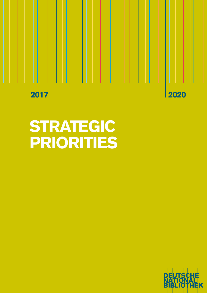2017 2020

# STRATEGIC PRIORITIES

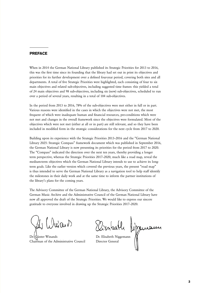#### PREFACE

When in 2014 the German National Library published its Strategic Priorities for 2013 to 2016, this was the first time since its founding that the library had set out in print its objectives and priorities for its further development over a defined four-year period, covering both sites and all departments. A total of five Strategic Priorities were highlighted, each consisting of four to six main objectives and related sub-objectives, including suggested time frames: this yielded a total of 24 main objectives and 98 sub-objectives, including six (new) sub-objectives, scheduled to run over a period of several years, resulting in a total of 104 sub-objectives.

In the period from 2013 to 2016, 78% of the sub-objectives were met either in full or in part. Various reasons were identified in the cases in which the objectives were not met, the most frequent of which were inadequate human and financial resources, pre-conditions which were not met and changes in the overall framework since the objectives were formulated. Most of the objectives which were not met (either at all or in part) are still relevant, and so they have been included in modified form in the strategic considerations for the next cycle from 2017 to 2020.

Building upon its experience with the Strategic Priorities 2013–2016 and the "German National Library 2025: Strategic Compass" framework document which was published in September 2016, the German National Library is now presenting its priorities for the period from 2017 to 2020. The "Compass" indicated the direction over the next ten years, thereby providing a longer term perspective, whereas the Strategic Priorities 2017–2020, much like a road map, reveal the medium-term objectives which the German National Library intends to use to achieve its longterm goals. Like the earlier version which covered the previous years, the present "road map" is thus intended to serve the German National Library as a navigation tool to help staff identify the milestones in their daily work and at the same time to inform the partner institutions of the library's plans for the coming years.

The Advisory Committee of the German National Library, the Advisory Committee of the German Music Archive and the Administrative Council of the German National Library have now all approved the draft of the Strategic Priorities. We would like to express our sincere gratitude to everyone involved in drawing up the Strategic Priorities 2017–2020.

 $\partial u \, \partial x \, \partial \Omega$ 

Dr. Günter Winands Chairman of the Administrative Council

Dr. Elisabeth Niggemann Director General

3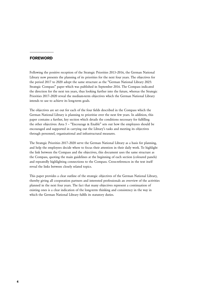#### FOREWORD

Following the positive reception of the Strategic Priorities 2013–2016, the German National Library now presents the planning of its priorities for the next four years. The objectives for the period 2017 to 2020 adopt the same structure as the "German National Library 2025: Strategic Compass" paper which was published in September 2016. The Compass indicated the direction for the next ten years, thus looking further into the future, whereas the Strategic Priorities 2017–2020 reveal the medium-term objectives which the German National Library intends to use to achieve its long-term goals.

The objectives are set out for each of the four fields described in the Compass which the German National Library is planning to prioritise over the next few years. In addition, this paper contains a further, key section which details the conditions necessary for fulfilling the other objectives: Area 5 – "Encourage & Enable" sets out how the employees should be encouraged and supported in carrying out the Library's tasks and meeting its objectives through personnel, organisational and infrastructural measures.

The Strategic Priorities 2017–2020 serve the German National Library as a basis for planning, and help the employees decide where to focus their attention in their daily work. To highlight the link between the Compass and the objectives, this document uses the same structure as the Compass, quoting the main guidelines at the beginning of each section (coloured panels) and repeatedly highlighting connections to the Compass. Cross-references in the text itself reveal the links between closely related topics.

This paper provides a clear outline of the strategic objectives of the German National Library, thereby giving all cooperation partners and interested professionals an overview of the activities planned in the next four years. The fact that many objectives represent a continuation of existing ones is a clear indication of the long-term thinking and consistency in the way in which the German National Library fulfils its statutory duties.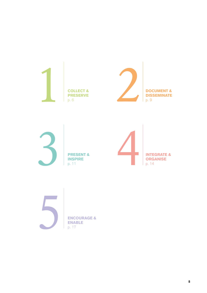







ENABLE p. 17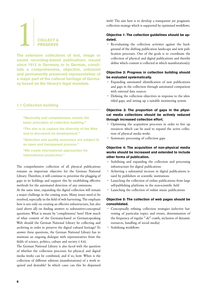# <span id="page-5-0"></span>COLLECT & **PRESERVE**

The extensive collections of text, image or sound recording-based publications issued since 1913 in Germany or in German, constitute a comprehensive, objective, unbiased and permanently preserved representation of a major part of the cultural heritage of Germany based on the library's legal mandate.

# 1.1 Collection building

"Neutrality and completeness remain the basic principles of collection building."

"The aim is to capture the diversity of the Web and to document its development."

"Selection and quality assurance are subject to an open and transparent process."

"We create international approaches for international production."

The comprehensive collection of all physical publications remains an important objective for the German National Library. Therefore, it will continue to prioritise the plugging of gaps in its holdings and support this by establishing effective methods for the automated detection of any omissions.

At the same time, expanding the digital collection will remain a major challenge in the coming years. Many issues need to be resolved, especially in the field of web harvesting. The emphasis here is not only on creating an effective infrastructure, but also (and above all) on finding answers to substantive-conceptual questions: What is meant by 'completeness' here? How much of what content of the Germany-based or German-speaking Web should the German National Library be collecting and archiving in order to preserve the digital cultural heritage? To answer these questions, the German National Library has to maintain an ongoing dialogue with representatives from the fields of science, politics, culture and society [\(› 4.6\).](#page-15-0)

The German National Library is also faced with the question of whether the collection processes for physical and digital media works can be combined, and if so, how: When is the collection of different editions (manifestations) of a work required and desirable? In which cases can this be dispensed with? The aim here is to develop a transparent yet pragmatic collection strategy which is supported by optimised workflows.

# Objective 1: The collection guidelines should be updated.

• Re-evaluating the collection activities against the background of the shifting publication landscape and new publication processes. One of the goals is to coordinate the collection of physical and digital publications and thereby define which content is collected in which manifestation(s).

# Objective 2: Progress in collection building should be evaluated systematically.

- Expanding automated identification of new publications and gaps in the collection through automated comparison with external data sources
- Defining the collection objectives in response to the identified gaps, and setting up a suitable monitoring system

# Objective 3: The proportion of gaps in the physical media collections should be actively reduced through increased collection effort.

- Optimising the acquisition processes in order to free up resources which can be used to expand the active collection of physical media works
- Systematic processing of collection gaps

# Objective 4: The acquisition of non-physical media works should be increased and extended to include other forms of publication.

- Stabilising and expanding the collection and processing infrastructure for digital publications
- Achieving a substantial increase in digital publications issued by publishers or scientific institutions
- Launching the collection of online publications from large self-publishing platforms in the non-scientific field
- Launching the collection of online music publications

# Objective 5: The collection of web pages should be consolidated.

- Conceptually refining collection strategies (selective harvesting of particular topics and events, determination of the frequency of regular ".de" crawls, inclusion of dynamic resources, handling of social media)
- Stabilising workflows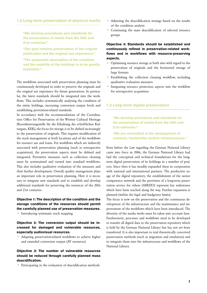#### <span id="page-6-0"></span>1.2 Long-term preservation of physical media

"We develop procedures and standards for the preservation of media from the 20th and 21st centuries."

"Our goal remains preservation of the original publication and the original use experience."

"The systematic description of the condition and the usability of the holdings is to be greatly expanded."

The workflows associated with preservation planning must be continuously developed in order to preserve the originals and the original use experience for future generations. In particular, the latest standards should be integrated into the workflows. This includes systematically analysing the condition of the entire holdings, increasing conversion output levels and establishing prevention-related standards.

In accordance with the recommendations of the Coordination Office for Preservation of the Written Cultural Heritage (Koordinierungsstelle für die Erhaltung des schriftlichen Kulturguts, KEK), the focus for storage is to be shifted increasingly to the preservation of originals. This requires modification of the stack management at both locations and of the workflows for resource use and loans. For workflows which are indirectly associated with preservation planning (such as retrospective acquisition), the preservation aspects must be defined and integrated. Preventive measures such as collection cleaning must be systematised and turned into standard workflows. This also includes qualitative evaluation of the measures and their further development. Overall, quality management plays an important role in preservation planning. Here it is necessary to integrate new standards and to establish and develop additional standards for preserving the resources of the 20th and 21st centuries.

# Objective 1: The description of the condition and the storage conditions of the resources should permit the carefully planned use of preservation measures.

• Introducing systematic stack mapping

#### Objective 2: The conversion output should be increased for damaged and vulnerable resources, especially audiovisual resources.

• Adapting preservation-related workflows to achieve higher and extended conversion output (AV resources)

#### Objective 3: The number of vulnerable resources should be reduced through carefully planned mass deacidification.

Participating in the evaluation of deacidification methods

- Adjusting the deacidification strategy based on the results of the condition analysis
- Continuing the mass deacidification of selected resource groups

### Objective 4: Standards should be established and continuously refined in preservation-related workflows and in workflows with resource-preserving aspects.

- Optimising resource storage at both sites with regard to the preservation of originals and the horizontal storage of large formats
- Establishing the collection cleaning workflow, including qualitative evaluation measures
- Integrating resource protection aspects into the workflow for retrospective acquisition

#### 1.3 Long-term digital preservation

"We develop procedures and standards for the preservation of media from the 20th and 21st centuries."

"We are committed to the development of common, trustworthy archive infrastructures."

Even before the Law regarding the German National Library came into force in 2006, the German National Library had laid the conceptual and technical foundations for the longterm digital preservation of its holdings in a number of projects. Since then it has steadily expanded these in cooperation with national and international partners. The productive usage of the digital repository, the establishment of the nestor competence network and the provision of a long-term preservation service for others (AREDO) represent key milestones which have been reached along the way. Further expansion is planned (within the legal and budgetary limits).

The focus is now on the preservation and the continuous development of the infrastructure and the maintenance and improvement of the workflows which have been introduced. The diversity of the media works must be taken into account here. Furthermore, processes and workflows need to be developed to transfer all digital data to the preservation repository which is held by the German National Library but has not yet been transferred. It is also important to trial theoretically conceived preservation methods (such as migration and emulation) and to integrate them into the infrastructure and workflows of the National Library.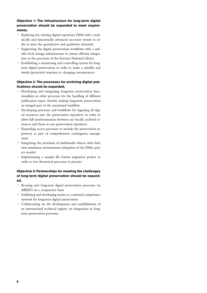#### Objective 1: The infrastructure for long-term digital preservation should be expanded to meet requirements.

- Replacing the existing digital repository DIAS with a technically and functionally advanced successor system in order to meet the quantitative and qualitative demands
- Supporting the digital preservation workflows with a suitable local storage infrastructure to ensure efficient integration in the processes of the German National Library
- Establishing a monitoring and controlling system for longterm digital preservation in order to make a suitable and timely (proactive) response to changing circumstances

### Objective 2: The processes for archiving digital publications should be expanded.

- Developing and integrating long-term preservation functionalities in other processes for the handling of different publication types, thereby making long-term preservation an integral part of the automated workflow
- Developing processes and workflows for ingesting all digital resources into the preservation repository in order to allow full synchronisation between our locally archived resources and those in our preservation repository
- Expanding access processes to include the preservation repository as part of comprehensive contingency management
- Integrating the provision of multimedia objects with their own emulation environments (adoption of the EMiL project results)
- Implementing a sample file format migration project in order to test theoretical processes in practice

# Objective 3: Partnerships for meeting the challenges of long-term digital preservation should be expanded.

- Re-using new long-term digital preservation processes via AREDO on a cooperative basis
- Stabilising and developing nestor as a national competence network for long-term digital preservation
- Collaborating on the development and establishment of an international technical registry on integration in longterm preservation processes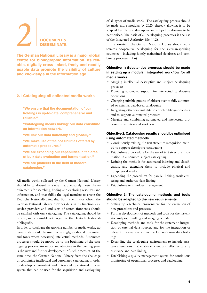# <span id="page-8-0"></span>**2** DOCUMENT & **DISSEMINATE**

The German National Library is a major global centre for bibliographic information. Its reliable, digitally cross-linked, freely and readily usable data promote the visibility of culture and knowledge in the information age.

# 2.1 Cataloguing all collected media works

- "We ensure that the documentation of our holdings is up-to-date, comprehensive and reliable."
- "Cataloguing means linking: our data constitute an information network."
- "We link our data nationally and globally."
- "We make use of the possibilities offered by automatic procedures."
- "We are expanding our capabilities in the area of bulk data evaluation and harmonisation."
- "We are pioneers in the field of modern cataloguing."

All media works collected by the German National Library should be catalogued in a way that adequately meets the requirements for searching, finding and exploring resources and information, and that fulfils the legal mandate to create the Deutsche Nationalbibliografie. Both clients (for whom the German National Library provides data in its function as a service provider) and end-users of search front-ends should be satisfied with our cataloguing. The cataloguing should be precise, and sustainable with regard to the Deutsche Nationalbibliografie.

In order to catalogue the growing number of media works, external data should be used increasingly, as should automated and (only where necessary) intellectual methods. Automated processes should be moved up to the beginning of the cataloguing process. An important objective in the coming years is the new and further development of such processes. At the same time, the German National Library faces the challenge of combining intellectual and automated cataloguing in order to develop a consistent and integrated operational process system that can be used for the acquisition and cataloguing

of all types of media works. The cataloguing process should be made more modular by 2020, thereby allowing it to be adapted flexibly, and descriptive and subject cataloguing to be harmonised. The basis of all cataloguing processes is the use of the Integrated Authority File [\(› 4.2\).](#page-13-1)

In the long-term the German National Library should work towards cooperative cataloguing for the German-speaking countries – including jointly maintained databases and combining processes  $($ , 4.6).

#### Objective 1: Substantive progress should be made in setting up a modular, integrated workflow for all media works.

- Merging intellectual descriptive and subject cataloguing processes
- Providing automated support for intellectual cataloguing operations
- Changing suitable groups of objects over to fully automated or external data-based cataloguing
- Integrating other external data to enrich bibliographic data and to support automated processes
- Merging and combining automated and intellectual processes in an integrated workflow

#### Objective 2: Cataloguing results should be optimised using automated methods.

- Continuously refining the text structure recognition method to support descriptive cataloguing
- Establishing a procedure for the use of text structure information in automated subject cataloguing
- Refining the methods for automated indexing and classification, and extending them to include physical and non-physical media
- Expanding the procedures for parallel linking, work clustering and authority data linking
- Establishing terminology management

#### Objective 3: The cataloguing methods and tools should be adapted to the new requirements.

- Setting up a technical environment for the evaluation of new procedures and processes
- Further development of methods and tools for the systematic analysis, bundling and merging of data
- Developing methods and tools for the systematic integration of external data sources, and for the integration of relevant information within the Library's own data holdings
- Expanding the cataloguing environment to include assistance functions that enable efficient and effective quality assurance and data linking
- Establishing a quality management system for continuous monitoring of operational processes and cataloguing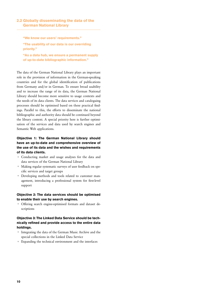#### 2.2 Globally disseminating the data of the German National Library

"We know our users' requirements." "The usability of our data is our overriding priority."

"As a data hub, we ensure a permanent supply of up-to-date bibliographic information."

The data of the German National Library plays an important role in the provision of information in the German-speaking countries and for the global identification of publications from Germany and/or in German. To ensure broad usability and to increase the range of its data, the German National Library should become more sensitive to usage contexts and the needs of its data clients. The data services and cataloguing processes should be optimised based on these practical findings. Parallel to this, the efforts to disseminate the national bibliographic and authority data should be continued beyond the library context. A special priority here is further optimisation of the services and data used by search engines and Semantic Web applications.

## Objective 1: The German National Library should have an up-to-date and comprehensive overview of the use of its data and the wishes and requirements of its data clients.

- Conducting market and usage analyses for the data and data services of the German National Library
- Making regular systematic surveys of user feedback on specific services and target groups
- Developing methods and tools related to customer management, introducing a professional system for first-level support

#### Objective 2: The data services should be optimised to enable their use by search engines.

• Offering search engine-optimised formats and dataset descriptions

#### Objective 3: The Linked Data Service should be technically refined and provide access to the entire data holdings.

- Integrating the data of the German Music Archive and the special collections in the Linked Data Service
- Expanding the technical environment and the interfaces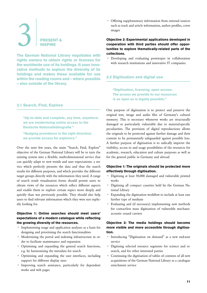# <span id="page-10-0"></span>3 PRESENT & INSPIRE

The German National Library negotiates with rights owners to obtain rights or licenses for the worldwide use of its holdings. It uses innovative methods to explore the diversity of its holdings and makes these available for use within the reading rooms and – where possible – also outside of the library.

#### 3.1 Search, Find, Explore

"Up-to-date and complete, any time, anywhere: we are modernising online access to the Deutsche Nationalbibliografie."

"Nudging providence in the right direction: we provide access for explorers."

Over the next few years, the main "Search, Find, Explore" objective of the German National Library will be to turn the existing system into a flexible, multi-dimensional service that can quickly adapt to new trends and user expectations: a service which perfectly presents the data and thus the search results for different purposes, and which provides the different target groups directly with the information they need. A range of search result visualisation forms should permit users to obtain views of the resources which reflect different aspects and enable them to explore certain topics more deeply and quickly than was previously possible. They should also help users to find relevant information which they were not explicitly looking for.

#### Objective 1: Online searches should meet users' expectations of a modern catalogue while reflecting the growing diversity of the resources.

- Implementing usage and application analyses as a basis for designing and prioritising the search functionalities
- Modernising the portal and indexing infrastructure in order to facilitate maintenance and expansion
- Optimising and expanding the general search functions, e.g. by harmonising the metadata for search
- Optimising and expanding the user interfaces, including support for different display sizes
- Improving search assistance, particularly for dependent works and web pages

• Offering supplementary information from external sources such as track and article information, author profiles, cover images

Objective 2: Experimental applications developed in cooperation with third parties should offer opportunities to explore thematically-related parts of the collections.

• Developing and evaluating prototypes in collaboration with research institutions and innovative IT companies.

# 3.2 Digitisation and digital use

"Digitisation, licensing, open access: The access we provide to our resources is as open as is legally possible."

One purpose of digitisation is to protect and preserve the original text, image and audio files of Germany's cultural memory. This is necessary whenever works are structurally damaged or particularly vulnerable due to material-specific peculiarities. The provision of digital reproductions allows the originals to be protected against further damage and their content to be permanently safeguarded against possible loss. A further purpose of digitisation is to radically improve the visibility, access to and usage possibilities of the resources for academic, research, education and culture purposes as well as for the general public in Germany and abroad.

#### Objective 1: The originals should be protected more effectively through digitisation.

- Digitising at least 50,000 damaged and vulnerable printed works
- Digitising all compact cassettes held by the German National Library
- Expanding the digitisation workflow to include at least one further type of medium
- Evaluating and (if necessary) implementing new methods for contactless mass digitisation of vulnerable mechanoacoustic sound carriers

#### Objective 2: The media holdings should become more visible and more accessible through digitisation.

- Introducing "Digitisation on demand" as a new end-user service
- Digitising selected resource segments for science and research, and for other interested parties
- Continuing the digitisation of tables of contents of all new acquisitions of the German National Library as a catalogue enrichment service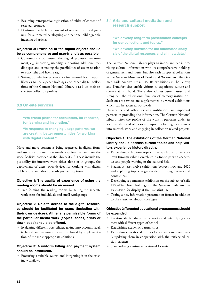- <span id="page-11-0"></span>• Resuming retrospective digitisation of tables of content of selected resources
- Digitising the tables of content of selected historical journals for automated cataloguing and national bibliographic indexing of articles

#### Objective 3: Provision of the digital objects should be as comprehensive and user-friendly as possible.

- Continuously optimising the digital provision environment, e.g. improving usability, supporting additional media types and extending the possibilities of use in relation to copyright and license rights
- Setting up selective accessibility for regional legal deposit libraries to the e-paper holdings and other digital collections of the German National Library based on their respective collection profiles

# 3.3 On-site services

"We create places for encounters, for research, for learning and inspiration."

"In response to changing usage patterns, we are creating better opportunities for working with digital content."

More and more content is being requested in digital form, and users are placing increasingly exacting demands on the work facilities provided at the library itself. These include the possibility for intensive work either alone or in groups, the deployment of users' own devices for working with digital publications and also non-cash payment options.

#### Objective 1: The quality of experience of using the reading rooms should be increased.

• Transforming the reading rooms by setting up separate work areas for individuals and small workgroups

Objective 2: On-site access to the digital resources should be facilitated for users (including with their own devices). All legally permissible forms of the particular media work (copies, scans, prints or downloads) should be offered.

• Evaluating different possibilities, taking into account legal, technical and economic aspects, followed by implementation of the most appropriate solutions

#### Objective 3: A uniform billing and payment system should be introduced.

• Procuring a suitable system and integrating it in the existing workflows

# 3.4 Arts and cultural mediation and research support

"We develop long-term presentation concepts for our collections and topics."

"We develop services for the automated analysis of the digital resources and all metadata."

The German National Library plays an important role in providing cultural information with its comprehensive holdings of general texts and music, but also with its special collections in the German Museum of Books and Writing and the German Exile Archive 1933–1945. Its exhibitions at the Leipzig and Frankfurt sites enable visitors to experience culture and science at first hand. These also address current issues and strengthen the educational function of memory institutions. Such on-site services are supplemented by virtual exhibitions which can be accessed worldwide.

Universities and other research institutions are important partners in providing the information. The German National Library raises the profile of the work it performs under its legal mandate and of its social impact by feeding its resources into research work and engaging in collection-related projects.

#### Objective 1: The exhibitions of the German National Library should address current topics and help visitors experience history directly.

- Embedding exhibition topics in research and other contexts through exhibition-related partnerships with academics and people working in the cultural field
- Staging at least twelve exhibitions between now and 2020 and exploring topics in greater depth through events and conferences
- Developing a permanent exhibition on the subject of exile 1933–1945 from holdings of the German Exile Archive 1933–1945 for display at the Frankfurt site
- Testing a new information presentation format in addition to the classic exhibition catalogue

# Objective 2: Targeted educational programmes should be expanded.

- Creating stable education networks and intensifying contacts with different types of school
- Establishing academic partnerships
- Expanding educational formats for students and continually updating them in cooperation with the tertiary education partners
- Standardising existing educational formats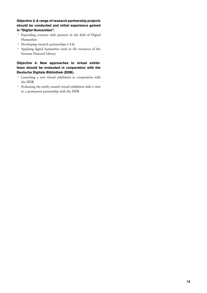#### Objective 3: A range of research partnership projects should be conducted and initial experience gained in "Digital Humanities".

- Expanding contacts with partners in the field of Digital Humanities
- Developing research partnerships  $($ , 4.6)
- Applying digital humanities tools to the resources of the German National Library

## Objective 4: New approaches to virtual exhibitions should be evaluated in cooperation with the Deutsche Digitale Bibliothek (DDB).

- Launching a new virtual exhibition in cooperation with the DDB
- Evaluating the newly created virtual exhibition with a view to a permanent partnership with the DDB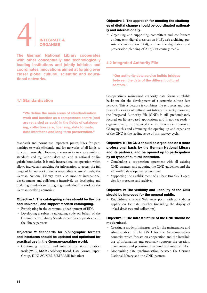# <span id="page-13-1"></span><span id="page-13-0"></span>INTEGRATE & **ORGANISE**

The German National Library cooperates with other conceptually and technologically leading institutions and jointly initiates and coordinates innovations aimed at forging ever closer global cultural, scientific and educational networks.

#### 4.1 Standardisation

"We define the main areas of standardisation work and function as a competence centre (and are regarded as such) in the fields of cataloguing, collection care, licensing, data formats, data interfaces and long-term preservation."

Standards and norms are important prerequisites for partnerships to work efficiently and for networks of all kinds to function correctly. However, the necessity to create uniform standards and regulations does not end at national or linguistic boundaries. It is only international co-operation which allows individuals searching for information to access the full range of library work. Besides responding to users' needs, the German National Library must also monitor international developments and collaborate intensively on developing and updating standards in its ongoing standardisation work for the German-speaking countries.

#### Objective 1: The cataloguing rules should be flexible and universal, and support modern cataloguing.

- Participating in the continuous development of RDA
- Developing a subject cataloguing code on behalf of the Committee for Library Standards and in cooperation with the library partners

#### Objective 2: Standards for bibliographic formats and interfaces should be updated and optimised for practical use in the German-speaking world.

• Continuing national and international standardisation work (W3C, MARC Advisory Board, Data Format Expert Group, DINI-AG-KIM, BIBFRAME Initiative)

#### Objective 3: The approach for meeting the challenges of digital change should be coordinated nationally and internationally.

• Organising and supporting committees and conferences on long-term digital preservation [\(› 1.3\)](#page-6-0), web archiving, persistent identification  $(64.4)$ , and on the digitisation and preservation planning of 20th/21st century media

# 4.2 Integrated Authority File

"Our authority data service builds bridges between the data of the different cultural sectors."

Co-operatively maintained authority data forms a reliable backbone for the development of a semantic culture data network. This is because it combines the resources and databases of a variety of cultural institutions. Currently, however, the Integrated Authority File (GND) is still predominantly focused on library-based applications and is not yet ready – organisationally or technically – for large-scale expansion. Changing this and advancing the opening up and expansion of the GND is the leading issue of this strategy cycle.

### Objective 1: The GND should be organised on a more professional basis by the German National Library and its partners, and be opened up to participation by all types of cultural institution.

- Concluding a cooperation agreement with all existing GND partners, and adopting the GND guidelines and the 2017–2020 development programme
- Supporting the establishment of at least two GND agencies for museums and archives

#### Objective 2: The visibility and usability of the GND should be improved for the general public.

• Establishing a central Web entry point with an end-user application for data searches (including the display of linked databases and collections)

# Objective 3: The infrastructure of the GND should be modernised.

- Creating a modern infrastructure for the maintenance and administration of the GND for the German-speaking countries which focuses on cooperation and the interlinking of information and optimally supports the creation, maintenance and provision of external and internal links
- Modernising data synchronisation between the German National Library and the GND partners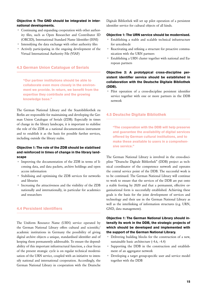#### <span id="page-14-0"></span>Objective 4: The GND should be integrated in international developments.

- Continuing and expanding cooperation with other authority files, such as Open Researcher and Contributor ID (ORCID), International Standard Name Identifier (ISNI)
- Intensifying the data exchange with other authority files
- Actively participating in the ongoing development of the Virtual International Authority File (VIAF)

#### 4.3 German Union Catalogue of Serials

"Our partner institutions should be able to collaborate even more closely in the environment we provide. In return, we benefit from the expertise they contribute and the growing knowledge base."

The German National Library and the Staatsbibliothek zu Berlin are responsible for maintaining and developing the German Union Catalogue of Serials (ZDB). Especially in times of change in the library landscape, it is important to stabilise the role of the ZDB as a national documentation instrument and to establish it as the basis for possible further services, including outside the library realm.

#### Objective 1: The role of the ZDB should be stabilised and reinforced in times of change in the library landscape

- Improving the documentation of the ZDB in terms of licensing data, and data packets, archive holdings and open access information
- Stabilising and optimising the ZDB services for networks and libraries
- Increasing the attractiveness and the visibility of the ZDB nationally and internationally, in particular for academics and researchers

#### 4.4 Persistent identifiers

The Uniform Resource Name (URN) service operated by the German National Library offers cultural and scientific/ academic institutions in Germany the possibility of giving digital archive objects a unique, standardised identifier and of keeping them permanently addressable. To ensure the dependability of this important infrastructural function, a clear focus of the present strategic cycle is on regular technical modernisation of the URN service, coupled with an initiative to intensify national and international cooperation. Accordingly, the German National Library in cooperation with the Deutsche

Digitale Bibliothek will set up pilot operation of a persistent identifier service for cultural objects of all kinds.

#### Objective 1: The URN service should be modernised.

- Establishing a stable and scalable technical infrastructure for urn:nbn:de
- Reactivating and refining a structure for proactive communication with the URN partners
- Establishing a URN cluster together with national and European partners

# Objective 2: A prototypical cross-discipline persistent identifier service should be established in collaboration with the Deutsche Digitale Bibliothek (DDB).

• Pilot operation of a cross-discipline persistent identifier service together with one or more partners in the DDB network

#### 4.5 Deutsche Digitale Bibliothek

"The cooperation with the DDB will help preserve and guarantee the availability of digital services offered by German cultural institutions, and to make these available to users in a comprehensive service."

The German National Library is involved in the cross-discipline "Deutsche Digitale Bibliothek" (DDB) project as technical coordinator of the competence network and operates the central service point of the DDB. The successful work is to be continued. The German National Library will continue to work to ensure that the services of the DDB are put onto a stable footing by 2020 and that a permanent, effective organisational form is successfully established. Achieving these goals is the basis for the joint development of services and technology and their use in the German National Library as well as the interlinking of information structures (e.g. URN, GND, data management).

# Objective 1: The German National Library should intensify its work in the DDB, the strategic projects of which should be developed and implemented with the support of the German National Library.

- Delivering building blocks for the construction of a new, sustainable basic architecture [\(› 4.6,](#page-15-0) › 4.4)
- Supporting the DDB in the construction and establishment of an aggregator network
- Developing a target group-specific user and service model together with the DDB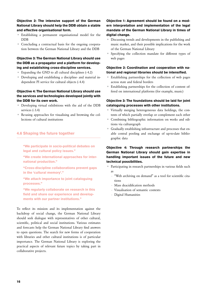#### <span id="page-15-0"></span>Objective 2: The intensive support of the German National Library should help the DDB obtain a stable and effective organisational form.

- Establishing a permanent organisational model for the DDB
- Concluding a contractual basis for the ongoing cooperation between the German National Library and the DDB

#### Objective 3: The German National Library should use the DDB as a propagator and a platform for developing and establishing cross-discipline services.

- Expanding the GND to all cultural disciplines  $(4.2)$
- Developing and establishing a discipline- and material independent PI service for cultural objects [\(› 4.4\)](#page-14-0)

#### Objective 4: The German National Library should use the services and technologies developed jointly with the DDB for its own work.

- Developing virtual exhibitions with the aid of the DDB services (>3.4)
- Re-using approaches for visualising and browsing the collections of cultural institutions

# 4.6 Shaping the future together

"We participate in socio-political debates on legal and cultural policy issues."

"We create international approaches for international production."

"Cross-discipline collaborations prevent gaps in the 'cultural memory'."

"We attach importance to joint cataloguing processes."

"We regularly collaborate on research in this field and share our experience and developments with our partner institutions."

To reflect its mission and its implementation against the backdrop of social change, the German National Library should seek dialogue with representatives of other cultural, scientific, political and social institutions. Various estimates and forecasts help the German National Library find answers to open questions. The search for new forms of cooperation with libraries and other cultural institutions is of particular importance. The German National Library is exploring the practical aspects of relevant future topics by taking part in collaborative projects.

#### Objective 1: Agreement should be found on a modern interpretation and implementation of the legal mandate of the German National Library in times of digital change.

- Discussing trends and developments in the publishing and music market, and their possible implications for the work of the German National Library
- Specifying the collection mandate for different types of web pages

#### Objective 2: Coordination and cooperation with national and regional libraries should be intensified.

- Establishing partnerships for the collection of web pages across state and federal borders
- Establishing partnerships for the collection of content offered on international platforms (for example, music)

#### Objective 3: The foundations should be laid for joint cataloguing processes with other institutions.

- Virtually merging heterogeneous data holdings, the contents of which partially overlap or complement each other
- Combining bibliographic information on works and editions via culturegraph
- Gradually establishing infrastructure and processes that enable central pooling and exchange of up-to-date bibliographic data

# Objective 4: Through research partnerships the German National Library should gain expertise in handling important issues of the future and new technical possibilities.

- Participating in research partnerships in various fields such as
	- "Web archiving on demand" as a tool for scientific citations
	- Mass deacidification methods
	- Visualisation of semantic contexts
	- Digital Humanities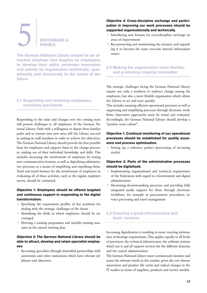# <span id="page-16-0"></span>ENCOURAGE & ENABLE

The German National Library should be an attractive employer that inspires its employees to develop their skills, promotes innovation and orients its organisation technically, operationally and structurally to the needs of the future.

### 5.1 Supporting and involving employees, recruiting specialists

Responding to the tasks and changes over the coming years will present challenges to all employees of the German National Library. Only with a willingness to depart from familiar paths and to venture into new areas will the Library succeed in uniting its staff members in order to achieve the objectives. The German National Library should provide the best possible basis for employees and support them in the change processes, making use of their individual knowledge and skills. This includes increasing the involvement of employees by testing new communication formats, as well as digitalising administrative processes as a means of simplifying and expediting them. Tried and tested formats for the involvement of employees in evaluating all of these activities, such as the regular employee survey, should be continued.

# Objective 1: Employees should be offered targeted and continuous support in responding to the digital transformation.

- Specifying the requirement profiles of key positions for dealing with the strategic challenges of the future
- Identifying the fields in which employees should be encouraged
- Deriving a training programme and suitable training measures in the annual training plan

#### Objective 2: The German National Library should be able to attract, develop and retain specialist employees

• Recruiting specialists through intensified partnerships with universities and other institutions which have relevant syllabuses and objectives

#### Objective 3: Cross-discipline exchange and participation in improving our work processes should be supported organisationally and technically.

- Introducing new formats for cross-discipline exchange on areas of improvement
- Reconstructing and modernising the intranet, and expanding it to become the main cross-site internal information source

# 5.2 Making the organisation more flexible, and promoting ongoing innovation

The strategic challenges facing the German National Library require not only a readiness to embrace change among the employees, but also a more flexible organisation which allows the Library to act and react quickly.

This includes ensuring efficient operational processes as well as supporting and simplifying processes through electronic workflows. Innovative approaches must be tested and evaluated. Accordingly, the German National Library should develop a "positive error culture".

#### Objective 1: Continual monitoring of our operational processes should be established for quality assurance and process optimisation.

• Setting up a reference project (processing of incoming media)

# Objective 2: Parts of the administrative processes should be digitalised.

- Implementing organisational and technical requirements of the Federation with regard to e-Government and digital administration
- Shortening decision-making processes and providing fully integrated media support for them through electronic workflows, for example in procurement procedures, invoice processing and travel management

#### 5.3 Ensuring a good infrastructure and basic services

Increasing digitalisation is resulting in more exacting information technology requirements. This applies equally to all levels of provision: the technical infrastructure, the software systems which use it and all support services for the different domains and the central administration.

The German National Library must continuously monitor and assess the relevant trends in this market, given the ever shorter innovation and product life cycles and radical changes in the IT market in terms of suppliers, products and service models.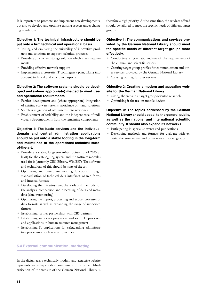It is important to promote and implement new developments, but also to develop and optimise existing aspects under changing conditions.

#### Objective 1: The technical infrastructure should be put onto a firm technical and operational basis.

- Testing and evaluating the suitability of innovative products and solutions to support technical processes
- Providing an efficient storage solution which meets requirements
- Providing effective network support
- Implementing a cross-site IT contingency plan, taking into account technical and economic aspects

## Objective 2: The software systems should be developed and (where appropriate) merged to meet user and operational requirements.

- Further development and (where appropriate) integration of existing software systems; avoidance of island solutions
- Seamless migration of old systems into new ones
- Establishment of scalability and the independence of individual sub-components from the remaining components

Objective 3: The basic services and the individual domain and central administration applications should be put onto a stable footing in the long-term and maintained at the operational-technical stateof-the-art.

- Providing a stable, long-term infrastructure (until 2025 at least) for the cataloguing system and the software modules used for it (currently CBS, Bibserv, WinIBW). The software and technology of this should be state-of-the-art
- Optimising and developing existing functions through standardisation of technical data interfaces, of web forms and internal formats
- Developing the infrastructure, the tools and methods for the analysis, comparison and processing of data and metadata (data warehousing)
- Optimising the import, processing and export processes of data formats as well as expanding the range of supported formats
- Establishing further partnerships with CBS partners
- Establishing and developing stable and secure IT processes and applications in human resource management
- Establishing IT applications for safeguarding administrative procedures, such as electronic files

# 5.4 External communication, marketing

In the digital age, a technically modern and attractive website represents an indispensable communication channel. Modernisation of the website of the German National Library is therefore a high priority. At the same time, the services offered should be tailored to meet the specific needs of different target groups.

# Objective 1: The communications and services provided by the German National Library should meet the specific needs of different target groups more effectively.

- Conducting a systematic analysis of the requirements of the cultural and scientific sectors
- Creating target group profiles for communication and other services provided by the German National Library
- Carrying out regular user surveys

#### Objective 2: Creating a modern and appealing website for the German National Library.

- Giving the website a target group-oriented relaunch
- Optimising it for use on mobile devices

Objective 3: The topics addressed by the German National Library should appeal to the general public, as well as the national and international scientific community. It should also expand its networks.

- Participating in specialist events and publications
- Developing methods and formats for dialogue with experts, the government and other relevant social groups